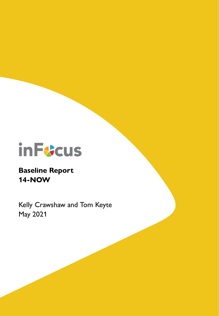

# **Baseline Report 14-NOW**

Kelly Crawshaw and Tom Keyte May 2021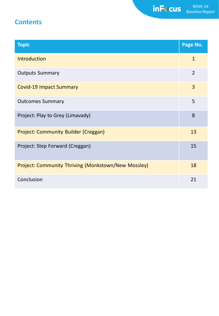# **Contents**

| <b>Topic</b>                                        | Page No.       |
|-----------------------------------------------------|----------------|
| <b>Introduction</b>                                 | $\mathbf{1}$   |
| <b>Outputs Summary</b>                              | $\overline{2}$ |
| <b>Covid-19 Impact Summary</b>                      | 3              |
| <b>Outcomes Summary</b>                             | 5              |
| Project: Play to Grey (Limavady)                    | 8              |
| <b>Project: Community Builder (Creggan)</b>         | 13             |
| Project: Step Forward (Creggan)                     | 15             |
| Project: Community Thriving (Monkstown/New Mossley) | 18             |
| Conclusion                                          | 21             |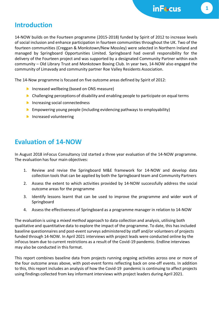## **Introduction**

14-NOW builds on the Fourteen programme (2015-2018) funded by Spirit of 2012 to increase levels of social inclusion and enhance participation in fourteen communities throughout the UK. Two of the fourteen communities (Creggan & Monkstown/New Mossley) were selected in Northern Ireland and managed by Springboard Opportunities Limited. Springboard had overall responsibility for the delivery of the Fourteen project and was supported by a designated Community Partner within each community – Old Library Trust and Monkstown Boxing Club. In year two, 14-NOW also engaged the community of Limavady and community partner Roe Valley Residents Association.

The 14-Now programme is focused on five outcome areas defined by Spirit of 2012:

- **Increased wellbeing (based on ONS measure)**
- $\triangleright$  Challenging perceptions of disability and enabling people to participate on equal terms
- **Increasing social connectedness**
- **Empowering young people (including evidencing pathways to employability)**
- **Increased volunteering**

# **Evaluation of 14-NOW**

In August 2018 inFocus Consultancy Ltd started a three year evaluation of the 14-NOW programme. The evaluation has four main objectives:

- 1. Review and revise the Springboard M&E framework for 14-NOW and develop data collection tools that can be applied by both the Springboard team and Community Partners
- 2. Assess the extent to which activities provided by 14-NOW successfully address the social outcome areas for the programme
- 3. Identify lessons learnt that can be used to improve the programme and wider work of **Springboard**
- 4. Assess the effectiveness of Springboard as a programme manager in relation to 14-NOW

The evaluation is using a *mixed method* approach to data collection and analysis, utilising both qualitative and quantitative data to explore the impact of the programme. To date, this has included baseline questionnaires and post-event surveys administered by staff and/or volunteers of projects funded through 14-NOW. In April 2021 interviews with project leads were conducted online by the inFocus team due to current restrictions as a result of the Covid-19 pandemic. Endline interviews may also be conducted in this format.

This report combines baseline data from projects running ongoing activities across one or more of the four outcome areas above, with post-event forms reflecting back on one-off events. In addition to this, this report includes an analysis of how the Covid-19 pandemic is continuing to affect projects using findings collected from key informant interviews with project leaders during April 2021.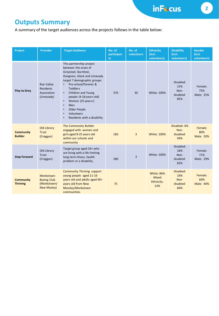inFt.cus

# **Outputs Summary**

A summary of the target audiences across the projects follows in the table below:

| Project                             | <b>Provider</b>                                                      | <b>Target Audience</b>                                                                                                                                                                                                                                                                                                                                                                         | No. of<br>participan<br>ts. | No. of<br>volunteers | <b>Ethnicity</b><br>(incl.<br>volunteers)              | <b>Disability</b><br>(incl.<br>volunteers)   | <b>Gender</b><br>(incl.<br>volunteers) |
|-------------------------------------|----------------------------------------------------------------------|------------------------------------------------------------------------------------------------------------------------------------------------------------------------------------------------------------------------------------------------------------------------------------------------------------------------------------------------------------------------------------------------|-----------------------------|----------------------|--------------------------------------------------------|----------------------------------------------|----------------------------------------|
| <b>Play to Grey</b>                 | <b>Roe Valley</b><br><b>Residents</b><br>Association<br>(Limavady)   | This partnership project<br>between the areas of<br>Greysteel, Burnfoot,<br>Dungiven, Glack and Limavady<br>target 7 demographic groups:<br>Pre-school/Parents &<br>$\bullet$<br><b>Toddlers</b><br>Children and Young<br>$\bullet$<br>people (4-18 years old)<br>Women (25 years+)<br>$\bullet$<br>$\bullet$<br>Men<br>Older People<br>$\bullet$<br>Volunteers<br>Residents with a disability | 376                         | 30                   | White: 100%                                            | Disabled:<br>15%<br>Non-<br>disabled:<br>85% | Female:<br>75%<br>Male: 25%            |
| <b>Community</b><br><b>Builder</b>  | Old Library<br><b>Trust</b><br>(Creggan)                             | The Community Builder<br>engaged with women and<br>girls aged 8-25 years old<br>within our schools and<br>community                                                                                                                                                                                                                                                                            | 160                         | $\overline{3}$       | <b>White: 100%</b>                                     | Disabled: 6%<br>Non-<br>disabled:<br>94%     | Female:<br>80%<br><b>Male: 20%</b>     |
| <b>Step Forward</b>                 | Old Library<br>Trust<br>(Creggan)                                    | Target group aged 26+ who<br>are living with a life limiting<br>long term illness, health<br>problem or a disability.                                                                                                                                                                                                                                                                          | 280                         | $\overline{3}$       | White: 100%                                            | Disabled:<br>18%<br>Non-<br>disabled:<br>82% | Female:<br>71%<br>Male: 29%            |
| <b>Community</b><br><b>Thriving</b> | Monkstown<br><b>Boxing Club</b><br>(Monkstown/<br><b>New Mosley)</b> | <b>Community Thriving support</b><br>young people aged 11-16<br>years old and adults aged 40+<br>years old from New<br>Mossley/Monkstown<br>communities.                                                                                                                                                                                                                                       | 75                          |                      | <b>White: 86%</b><br><b>Mixed</b><br>Ethnicity:<br>14% | Disabled:<br>16%<br>Non-<br>disabled:<br>84% | Female:<br>60%<br>Male: 40%            |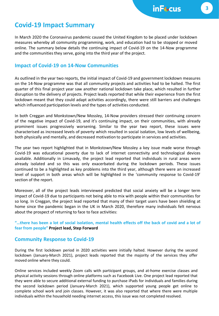## **Covid-19 Impact Summary**

In March 2020 the Coronavirus pandemic caused the United Kingdom to be placed under lockdown measures whereby all community programming, work, and education had to be stopped or moved online. The summary below details the continuing impact of Covid-19 on the 14-Now programme and the communities they serve, going into the third year of the project.

## **Impact of Covid-19 on 14-Now Communities**

As outlined in the year two reports, the initial impact of Covid-19 and government lockdown measures on the 14-Now programme was that all community projects and activities had to be halted. The first quarter of this final project year saw another national lockdown take place, which resulted in further disruption to the delivery of projects. Project leads reported that while their experience from the first lockdown meant that they could adapt activities accordingly, there were still barriers and challenges which influenced participation levels and the types of activities conducted.

In both Creggan and Monkstown/New Mossley, 14-Now providers stressed their continuing concern of the negative impact of Covid-19, and it's continuing impact, on their communities, with already prominent issues progressively worsening. Similar to the year two report, these issues were characterised as increased levels of poverty which resulted in social isolation, low levels of wellbeing, both physically and mentally, and decreased motivation to participate in services and activities.

The year two report highlighted that in Monkstown/New Mossley a key issue made worse through Covid-19 was educational poverty due to lack of internet connectivity and technological devices available. Additionally in Limavady, the project lead reported that individuals in rural areas were already isolated and so this was only exacerbated during the lockdown periods. These issues continued to be a highlighted as key problems into the third year, although there were an increased level of support in both areas which will be highlighted in the 'community response to Covid-19' section of the report.

Moreover, all of the project leads interviewed predicted that social anxiety will be a longer term impact of Covid-19 due to participants not being able to mix with people within their communities for so long. In Creggan, the project lead reported that many of their target users have been shielding at home since the pandemic began in the UK in March 2020, therefore many individuals felt nervous about the prospect of returning to face to face activities:

#### "...there has been a lot of social isolation, mental health effects off the back of covid and a lot of **fear from people" Project lead, Step Forward**

## **Community Response to Covid-19**

During the first lockdown period in 2020 activities were initially halted. However during the second lockdown (January-March 2021), project leads reported that the majority of the services they offer moved online where they could.

Online services included weekly Zoom calls with participant groups, and at-home exercise classes and physical activity sessions through online platforms such as Facebook Live. One project lead reported that they were able to secure additional external funding to purchase iPads for individuals and families during the second lockdown period (January-March 2021), which supported young people get online to complete school work and join classes. However, it was also reported that where there were multiple individuals within the household needing internet access, this issue was not completed resolved.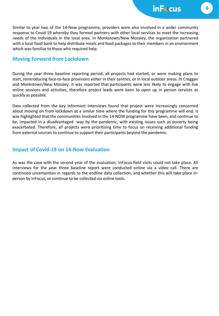Similar to year two of the 14-Now programme, providers were also involved in a wider community response to Covid-19 whereby they formed partners with other local services to meet the increasing needs of the individuals in the local area. In Monkstown/New Mossley, the organisation partnered with a local food bank to help distribute meals and food packages to their members in an environment which was familiar to those who required help.

### **Moving Forward from Lockdown**

During the year three baseline reporting period, all projects had started, or were making plans to start, reintroducing face-to-face provisions either in their centres, or in local outdoor areas. In Creggan and Monkstown/New Mossley, it was reported that participants were less likely to engage with live online sessions and activities, therefore project leads were keen to open up in person services as quickly as possible.

Data collected from the key informant interviews found that project were increasingly concerned about moving on from lockdown at a similar time where the funding for this programme will end. It was highlighted that the communities involved in the 14-NOW programme have been, and continue to be, impacted in a disadvantaged way by the pandemic, with existing issues such as poverty being exacerbated. Therefore, all projects were prioritising time to focus on receiving additional funding from external sources to continue to support their participants beyond the pandemic.

## **Impact of Covid-19 on 14-Now Evaluation**

As was the case with the second year of the evaluation, inFocus field visits could not take place. All interviews for the year three baseline report were conducted online via a video call. There are continued uncertainties in regards to the endline data collection, and whether this will take place inperson by inFocus, or continue to be collected via online tools.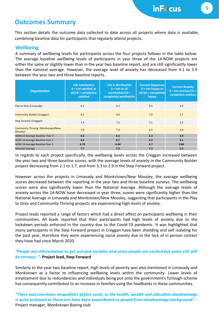## **Outcomes Summary**

This section details the outcome data collected to date across all projects where data is available, combining baseline data for participants that regularly attend projects.

### **Wellbeing**

A summary of wellbeing levels for participants across the four projects follows in the table below. The average baseline wellbeing levels of participants in year three of the 14-NOW projects are either the same or slightly lower than in the year two baseline report, and are still significantly lower than the national average. However, the average level of anxiety has decreased from 4.1 to 3.9 between the year two and three baseline reports.

| <b>Organisation</b>                           | <b>Life Satisfaction</b><br>$0 = not satisfied at$<br>$all/10 = completely$<br>satisfied | Life is Worthwhile<br>$0 = not at all$<br>worthwhile/10 =<br>completely worthwhile | <b>Current Happiness</b><br>$0 = not happy at$<br>$all/10 = completely$<br>happy | <b>Current Anxiety</b><br>$0 = not$ anxious/10 =<br>completely anxious |
|-----------------------------------------------|------------------------------------------------------------------------------------------|------------------------------------------------------------------------------------|----------------------------------------------------------------------------------|------------------------------------------------------------------------|
| Play to Grey (Limavady)                       | 6.1                                                                                      | 6.1                                                                                | 6.0                                                                              | 4.4                                                                    |
| <b>Community Builder (Creggan)</b>            | 8.2                                                                                      | 8.0                                                                                | 7.9                                                                              | 1.7                                                                    |
| Step Forward (Creggan)                        | 7.4                                                                                      | 7.5                                                                                | 7.1                                                                              | 2.9                                                                    |
| Community Thriving (Monkstown/New<br>Mossley) | 7.0                                                                                      | 7.3                                                                                | 6.3                                                                              | 3.9                                                                    |
| NOW/14 Average Baseline Year 3                | 6.6                                                                                      | 6.6                                                                                | 6.3                                                                              | 3.9                                                                    |
| NOW-14 Average Baseline Year 2                | 6.6                                                                                      | 6.7                                                                                | 6.5                                                                              | 4.1                                                                    |
| NOW-14 Average Baseline Year 1                | 6.78                                                                                     | 6.84                                                                               | 6.7                                                                              | 3.86                                                                   |
| <b>National Average</b>                       | 7.7                                                                                      | 7.9                                                                                | 7.5                                                                              | 2.9                                                                    |

In regards to each project specifically, the wellbeing levels across the Creggan increased between the year two and three baseline scores, with the average levels of anxiety in the Community Builder project decreasing from 2.1 to 1.7, and from 3.3 to 2.9 in the Step Forward project.

However across the projects in Limavady and Monkstown/New Mossley, the average wellbeing scores decreased between the reporting in the year two and three baseline surveys. The wellbeing scores were also significantly lower than the National Average. Although the average levels of anxiety across the 14-NOW have decreased in year three, scores were significantly higher than the National Average in Limavady and Monkstown/New Mossley, suggesting that participants in the Play to Grey and Community Thriving projects are experiencing high levels of anxiety.

Project leads reported a range of factors which had a direct affect on participants wellbeing in their communities. All leads reported that their participants had high levels of anxiety due to the lockdown periods enforced in the country due to the Covid-19 pandemic. It was highlighted that many participants in the Step Forward project in Creggan have been shielding and self isolating for the past year, therefore they were experiencing social anxiety due to the lack of in person contact they have had since March 2020.

### "People are still tentative to get out and socialise and some people are excited but some still will *be nervous. "-* **Project lead, Step Forward**

Similarly to the year two baseline report, high levels of poverty was also mentioned in Limavady and Monkstown as a factor to influencing wellbeing levels within the community. Lower levels of employment due to redundancies and individuals being put onto the government's furlough scheme has consequently contributed to an increase in families using the foodbanks in these communities.

*"There was enormous inequalities before covid, so the health, wealth and education disadvantage is quite profound so those are have been exacerbated so people from disadvantage background"* – Project manager, Monkstown Boxing club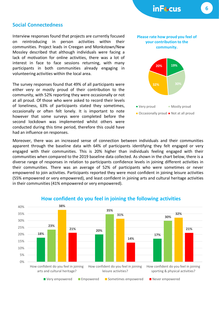#### **Social Connectedness**

Interview responses found that projects are currently focused on reintroducing in person activities within their communities. Project leads in Creegan and Monkstown/New Mossley described that although individuals were facing a lack of motivation for online activities, there was a lot of interest in face to face sessions returning, with many participants in both communities already engaging in volunteering activities within the local area.

The survey responses found that 49% of all participants were either very or mostly proud of their contribution to the community, with 52% reporting they were occasionally or not at all proud. Of those who were asked to record their levels of loneliness, 63% of participants stated they sometimes, occasionally or often felt lonely. It is important to note however that some surveys were completed before the second lockdown was implemented whilst others were conducted during this time period, therefore this could have had an influence on responses.

Moreover, there was an increased sense of connection between individuals and their communities apparent through the baseline data with 64% of participants identifying they felt engaged or very engaged with their communities. This is 20% higher than individuals feeling engaged with their communities when compared to the 2019 baseline data collected. As shown in the chart below, there is a diverse range of responses in relation to participants confidence levels in joining different activities in their communities. There was an average of 52% of participants who were sometimes or never empowered to join activities. Participants reported they were most confident in joining leisure activities (55% empowered or very empowered), and least confident in joining arts and cultural heritage activities in their communities(41% empowered or very empowered).



#### **How confident do you feel in joining the following activities**

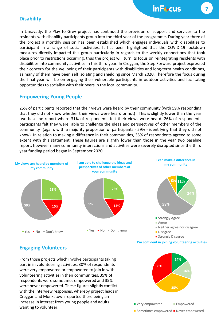### **Disability**

In Limavady, the Play to Grey project has continued the provision of support and services to the residents with disability participants group into the third year of the programme. During year three of the project a monthly session has been established which engages individuals with disabilities to participant in a range of social activities. It has been highlighted that the COVID-19 lockdown measures directly impacted this group particularly in regards to the weekly connections that took place prior to restrictions occurring, thus the project will turn its focus on reintegrating residents with disabilities into community activities in this third year. In Creggan, the Step Forward project expressed their concern for the wellbeing of their participants with disabilities and long-term health conditions, as many of them have been self isolating and shielding since March 2020. Therefore the focus during the final year will be on engaging their vulnerable participants in outdoor activities and facilitating opportunities to socialise with their peers in the local community.

## **Empowering Young People**

25% of participants reported that their views were heard by their community (with 59% responding that they did not know whether their views were heard or not) . This is slightly lower than the year two baseline report where 31% of respondents felt their views were heard. 26% of respondents participants felt they were able to challenge the ideas and perspectives of other members of the community (again, with a majority proportion of participants - 59% - identifying that they did not know). In relation to making a difference in their communities, 35% of respondents agreed to some extent with this statement. These figures are slightly lower than those in the year two baseline report, however many community interactions and activities were severely disrupted since the third year funding period began in September 2020.



**Engaging Volunteers**

From those projects which involve participants taking part in in volunteering activities, 30% of respondents were very empowered or empowered to join in with volunteering activities in their communities. 35% of respondents were sometimes empowered and 35% were never empowered. These figures slightly conflict with the interview responses, whereby project leads in Creggan and Monkstown reported there being an increase in interest from young people and adults wanting to volunteer.

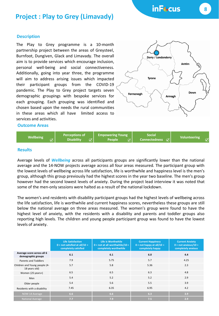inF<sup>&</sup>cus

## **Project : Play to Grey (Limavady)**

#### **Description**

The Play to Grey programme is a 10-month partnership project between the areas of Greysteel, Burnfoot, Dungiven, Glack and Limavady. The overall aim is to provide services which encourage inclusion, personal well-being and social connectiveness. Additionally, going into year three, the programme will aim to address arising issues which impacted their participant groups from the COVID-19 pandemic. The Play to Grey project targets seven demographic groupings with bespoke services for each grouping. Each grouping was identified and chosen based upon the needs the rural communities in these areas which all have limited access to services and activities.



#### **Outcome Areas**



#### **Results**

Average levels of *Wellbeing* across all participants groups are significantly lower than the national average and the 14-NOW projects average across all four areas measured. The participant group with the lowest levels of wellbeing across life satisfaction, life is worthwhile and happiness level is the men's group, although this group previously had the highest scores in the year two baseline. The men's group however had the second lowest levels of anxiety. During the project lead interview it was noted that some of the men-only sessions were halted as a result of the national lockdown.

The women's and residents with disability participant groups had the highest levels of wellbeing across the life satisfaction, life is worthwhile and current happiness scores, nevertheless these groups are still below the national average on three areas measured. The women's group were found to have the highest level of anxiety, with the residents with a disability and parents and toddler groups also reporting high levels. The children and young people participant group was found to have the lowest levels of anxiety.

|                                                  | <b>Life Satisfaction</b><br>$0 = not satisfied at all/10 =$<br>completely satisfied | Life is Worthwhile<br>$0 = not$ at all worthwhile/10 =<br>completely worthwhile | <b>Current Happiness</b><br>$0 = not happy at all/10 =$<br>completely happy | <b>Current Anxiety</b><br>$0 = not$ anxious/10 =<br>completely anxious |
|--------------------------------------------------|-------------------------------------------------------------------------------------|---------------------------------------------------------------------------------|-----------------------------------------------------------------------------|------------------------------------------------------------------------|
| Average score across all 6<br>demographic groups | 6.1                                                                                 | 6.1                                                                             | 6.0                                                                         | 4.4                                                                    |
| <b>Parents and Toddlers</b>                      | 7.9                                                                                 | 5.75                                                                            | 5.7                                                                         | 4.25                                                                   |
| Children and Young people (4-<br>18 years old)   | 5.7                                                                                 | 5.8                                                                             | 5.36                                                                        | 2.3                                                                    |
| Women (25 years+)                                | 6.5                                                                                 | 6.5                                                                             | 6.3                                                                         | 4.8                                                                    |
| Men                                              | 5.4                                                                                 | 5.2                                                                             | 5.2                                                                         | 2.9                                                                    |
| Older people                                     | 5.4                                                                                 | 5.6                                                                             | 5.5                                                                         | 3.9                                                                    |
| Residents with a disability                      | 7.45                                                                                | 6.35                                                                            | 6.95                                                                        | 4.2                                                                    |
| NOW-14 Average                                   | 6.6                                                                                 | 6.6                                                                             | 6.3                                                                         | 3.9                                                                    |
| <b>National Average</b>                          | 7.7                                                                                 | 7.9                                                                             | 7.5                                                                         | 2.9                                                                    |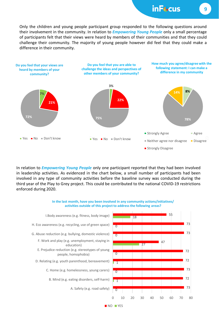## inF<sub>\*cus</sub>

Only the children and young people participant group responded to the following questions around their involvement in the community. In relation to *Empowering Young People* only a small percentage of participants felt that their views were heard by members of their communities and that they could challenge their community. The majority of young people however did feel that they could make a difference in their community.



In relation to *Empowering Young People* only one participant reported that they had been involved in leadership activities. As evidenced in the chart below, a small number of participants had been involved in any type of community activities before the baseline survey was conducted during the third year of the Play to Grey project. This could be contributed to the national COVID-19 restrictions enforced during 2020.

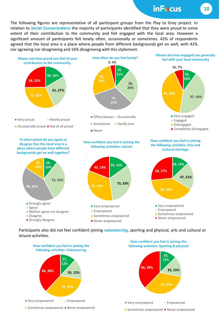inFt.cus

The following figures are representative of all participant groups from the Play to Grey project. In relation to *Social Connectedness* the majority of participants identified that they were proud to some extent of their contribution to the community and felt engaged with the local area. However a significant amount of participants felt lonely often, occasionally or sometimes. 42% of respondents agreed that the local area is a place where people from different backgrounds get on well, with 42% nor agreeing nor disagreeing and 16% disagreeing with this statement.



Participants also did not feel confident joining *volunteering*, sporting and physical, arts and cultural or leisure activities.

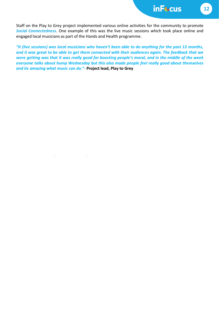inFt.cus

**12**

Staff on the Play to Grey project implemented various online activities for the community to promote *Social Connectedness*. One example of this was the live music sessions which took place online and engaged local musicians as part of the Hands and Health programme.

"It (live sessions) was local musicians who haven't been able to do anything for the past 12 months, and it was great to be able to get them connected with their audiences again. The feedback that we were getting was that it was really good for boosting people's moral, and in the middle of the week *everyone talks about hump Wednesday but this also made people feel really good about themselves and its amazing what music can do."-* **Project lead, Play to Grey**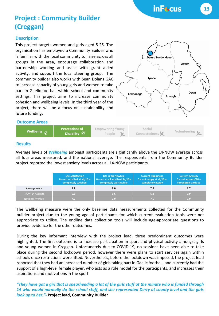inFt-cus

# **Project : Community Builder (Creggan)**

#### **Description**

This project targets women and girls aged 5-25. The organisation has employed a Community Builder who is familiar with the local community to liaise across all groups in the area, encourage collaboration and partnership working and assist with grant aided activity, and support the local steering group. The community builder also works with Sean Dolans GAC to increase capacity of young girls and women to take part in Gaelic football within school and community settings. This project aims to increase community cohesion and wellbeing levels. In the third year of the project, there will be a focus on sustainability and future funding.

**Wellbeing CONS Perceptions of** 

**Disability**



## **Results**

**Outcome Areas** 

Average levels of *Wellbeing* amongst participants are significantly above the 14-NOW average across all four areas measured, and the national average. The respondents from the Community Builder project reported the lowest anxiety levels across all 14-NOW participants.

|                         | <b>Life Satisfaction</b><br>$0 = not satisfied at all/10 =$<br>completely satisfied | Life is Worthwhile<br>$0 = not$ at all worthwhile/10 =<br>completely worthwhile | <b>Current Happiness</b><br>$0 = not happy at all/10 = 0$<br>completely happy | <b>Current Anxiety</b><br>$0 = not$ anxious/10 =<br>completely anxious |
|-------------------------|-------------------------------------------------------------------------------------|---------------------------------------------------------------------------------|-------------------------------------------------------------------------------|------------------------------------------------------------------------|
| Average score           | 8.2                                                                                 | 8.0                                                                             | 7.9                                                                           | 1.7                                                                    |
| NOW-14 Average          | 6.6                                                                                 | 6.6                                                                             | 6.3                                                                           | 3.9                                                                    |
| <b>National Average</b> | 7. 7                                                                                | 7.9                                                                             | 7.5                                                                           | 2.9                                                                    |

The wellbeing measure were the only baseline data measurements collected for the Community builder project due to the young age of participants for which current evaluation tools were not appropriate to utilise. The endline data collection tools will include age-appropriate questions to provide evidence for the other outcomes.

During the key informant interview with the project lead, three predominant outcomes were highlighted. The first outcome is to increase participation in sport and physical activity amongst girls and young women in Creggan. Unfortunately due to COVID-19, no sessions have been able to take place during the second lockdown period, however there were plans to start services again within schools once restrictions were lifted. Nevertheless, before the lockdown was imposed, the project lead reported that they had an increased number of girls taking part in Gaelic football, and currently had the support of a high-level female player, who acts as a role model for the participants, and increases their aspirations and motivations in the sport.

"They have got a girl that is spearheading a lot of the girls stuff at the minute who is funded through *14 who would normally do the school stuff, and she represented Derry at county level and the girls look up to her."-* **Project lead, Community Builder**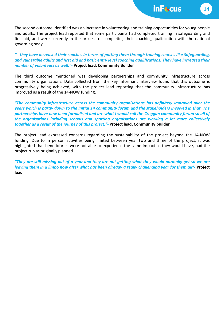The second outcome identified was an increase in volunteering and training opportunities for young people and adults. The project lead reported that some participants had completed training in safeguarding and first aid, and were currently in the process of completing their coaching qualification with the national governing body.

*"…they have increased their coaches in terms of putting them through training courses like Safeguarding, and vulnerable adults and first aid and basic entry level coaching qualifications. They have increased their number of volunteers as well."-* **Project lead, Community Builder**

The third outcome mentioned was developing partnerships and community infrastructure across community organisations. Data collected from the key informant interview found that this outcome is progressively being achieved, with the project lead reporting that the community infrastructure has improved as a result of the 14-NOW funding.

*"The community infrastructure across the community organisations has definitely improved over the* years which is partly down to the initial 14 community forum and the stakeholders involved in that. The partnerships have now been formalised and are what I would call the Creggan community forum so all of *the organisations including schools and sporting organisations are working a lot more collectively together as a result of the journey of this project."-* **Project lead, Community builder**

The project lead expressed concerns regarding the sustainability of the project beyond the 14-NOW funding. Due to in person activities being limited between year two and three of the project, it was highlighted that beneficiaries were not able to experience the same impact as they would have, had the project run as originally planned.

"They are still missing out of a year and they are not getting what they would normally get so we are leaving them in a limbo now after what has been already a really challenging year for them all"- Project **lead**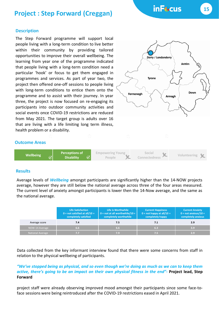## **Project : Step Forward (Creggan)**

#### **Description**

The Step Forward programme will support local people living with a long-term condition to live better within their community by providing tailored opportunities to improve their overall wellbeing. The learning from year one of the programme indicated that people living with a long-term condition need a particular 'hook' or focus to get them engaged in programmes and services. As part of year two, the project then offered one-off sessions to people living with long-term conditions to entice them onto the programme and to assist with their journey. In year three, the project is now focused on re-engaging its participants into outdoor community activities and social events once COVID-19 restrictions are reduced from May 2021. The target group is adults over 16 that are living with a life limiting long term illness, health problem or a disability.



inF<sup>&</sup>cus

#### **Outcome Areas**



#### **Results**

Average levels of *Wellbeing* amongst participants are significantly higher than the 14-NOW projects average, however they are still below the national average across three of the four areas measured. The current level of anxiety amongst participants is lower then the 14-Now average, and the same as the national average.

|                         | <b>Life Satisfaction</b><br>$0 = not satisfied at all/10 =$<br>completely satisfied | Life is Worthwhile<br>$0 = not at all worthwhile / 10 =$<br>completely worthwhile | <b>Current Happiness</b><br>$0 = not happy at all/10 = 0$<br>completely happy | <b>Current Anxiety</b><br>$0 = not$ anxious/10 =<br>completely anxious |
|-------------------------|-------------------------------------------------------------------------------------|-----------------------------------------------------------------------------------|-------------------------------------------------------------------------------|------------------------------------------------------------------------|
| Average score           | 7.4                                                                                 | 7.5                                                                               |                                                                               | 2.9                                                                    |
| NOW-14 Average          | 6.6                                                                                 | 6.6                                                                               | 6.3                                                                           | 3.9                                                                    |
| <b>National Average</b> |                                                                                     | 7.9                                                                               | 7.5                                                                           | 2.9                                                                    |

Data collected from the key informant interview found that there were some concerns from staff in relation to the physical wellbeing of participants.

#### "We've stopped being as physical, and so even though we're doing as much as we can to keep them active, there's going to be an impact on their own physical fitness in the end"- Project lead, Step **Forward**

project staff were already observing improved mood amongst their participants since some face-toface sessions were being reintroduced after the COVID-19 restrictions eased in April 2021.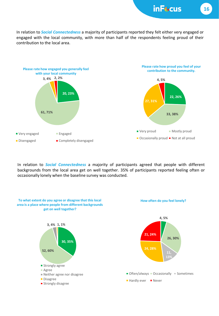inFt.cus

In relation to *Social Connectedness* a majority of participants reported they felt either very engaged or engaged with the local community, with more than half of the respondents feeling proud of their contribution to the local area.



In relation to *Social Connectedness* a majority of participants agreed that people with different backgrounds from the local area get on well together. 35% of participants reported feeling often or occasionally lonely when the baseline survey was conducted.

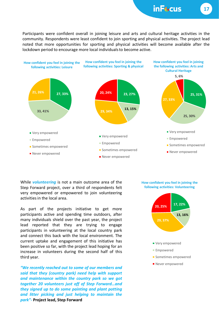Participants were confident overall in joining leisure and arts and cultural heritage activities in the community. Respondents were least confident to join sporting and physical activities. The project lead noted that more opportunities for sporting and physical activities will become available after the lockdown period to encourage more local individuals to become active.



While *volunteering* is not a main outcome area of the Step Forward project, over a third of respondents felt very empowered or empowered to join volunteering activitiesin the local area.

As part of the projects initiative to get more participants active and spending time outdoors, after many individuals shield over the past year, the project lead reported that they are trying to engage participants in volunteering at the local country park and connect this back with the local environment. The current uptake and engagement of this initiative has been positive so far, with the project lead hoping for an increase in volunteers during the second half of this third year.

*"We recently reached out to some of our members and said that they (country park) need help with support and maintenance within the country park so we got together 20 volunteers just off of Step Forward…and they signed up to do some painting and plant potting and litter picking and just helping to maintain the park"-* **Project lead, Step Forward**



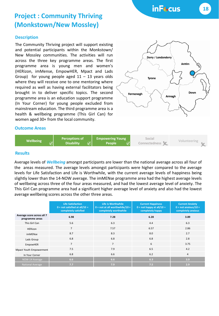inF<sup>&</sup>cus

# **Project : Community Thriving (Monkstown/New Mossley)**

#### **Description**

The Community Thriving project will support existing and potential participants within the Monkstown/ New Mossley communities. The activities will run across the three key programme areas. The first programme area is young men and women's (HERizon, imMense, EmpowHER, Mpact and Lads Group) for young people aged  $11 - 13$  years olds where they will receive one to one mentoring where required as well as having external facilitators being brought in to deliver specific topics. The second programme area is an education support programme (In Your Corner) for young people excluded from mainstream education. The third programme area is a health & wellbeing programme (This Girl Can) for women aged 30+ from the local community.



#### **Outcome Areas**



#### **Results**

Average levels of *Wellbeing* amongst participants are lower than the national average across all four of the areas measured. The average levels amongst participants were higher compared to the average levels for Life Satisfaction and Life is Worthwhile, with the current average levels of happiness being slightly lower than the 14-NOW average. The imMENse programme area had the highest average levels of wellbeing across three of the four areas measured, and had the lowest average level of anxiety. The This Girl Can programme area had a significant higher average level of anxiety and also had the lowest average wellbeing scores across the other three areas.

|                                               | <b>Life Satisfaction</b><br>$0 = not satisfied at all/10 =$<br>completely satisfied | Life is Worthwhile<br>$0 = not$ at all worthwhile/10 =<br>completely worthwhile | <b>Current Happiness</b><br>$0 = not happy at all/10 =$<br>completely happy | <b>Current Anxiety</b><br>$0 = not$ anxious/10 =<br>completely anxious |
|-----------------------------------------------|-------------------------------------------------------------------------------------|---------------------------------------------------------------------------------|-----------------------------------------------------------------------------|------------------------------------------------------------------------|
| Average score across all 7<br>programme areas | 6.98                                                                                | 7.28                                                                            | 6.28                                                                        | 3.89                                                                   |
| This Girl Can                                 | 5.6                                                                                 | 6.3                                                                             | 4.4                                                                         | 6.3                                                                    |
| <b>HERizon</b>                                | $\overline{7}$                                                                      | 7.57                                                                            | 6.57                                                                        | 2.86                                                                   |
| imMENse                                       | 8.7                                                                                 | 8.3                                                                             | 8.0                                                                         | 2.7                                                                    |
| Lads Group                                    | 6.8                                                                                 | 6.8                                                                             | 6.8                                                                         | 2.8                                                                    |
| EmpowHER                                      | $\overline{7}$                                                                      | $\overline{7}$                                                                  | 6                                                                           | 3.75                                                                   |
| Mpact Youth Empowerment                       | 7.5                                                                                 | 7.9                                                                             | 6.5                                                                         | 4.2                                                                    |
| In Your Corner                                | 6.8                                                                                 | 6.6                                                                             | 6.2                                                                         | $\overline{4}$                                                         |
| NOW-14 Average                                | 6.6                                                                                 | 6.6                                                                             | 6.3                                                                         | 3.9                                                                    |
| National Average                              | 7.7                                                                                 | 7.9                                                                             | 7.5                                                                         | 2.9                                                                    |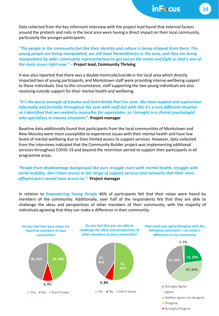Data collected from the key informant interview with the project lead found that external factors around the protests and riots in the local area were having a direct impact on their local community, particularly the younger participants.

*"The people in the community feel like their identity and culture is being stripped from them. The young people are being manipulated, we still have Paramilitaries in the area, and they are being manipulated by older community representatives to get out on the street and fight so that's one of the main issues right now."* **– Project lead, Community Thriving** 

It was also reported that there was a double-homicide/suicide in the local area which directly impacted two of young participants, and Monkstown staff were providing intense wellbeing support to these individuals. Due to this circumstance, staff supporting the two young individuals are also receiving outside support for their mental health and wellbeing.

*"It's the worst example of trauma and heart break that I've seen. We have support and supervision informally and formally throughout the year with staff but with this it's a very different situation so I identified that we needed a counsellor for supervision, so I brought in a clinical psychologist who specialises in trauma situations"-* **Project manager**

Baseline data additionally found that participants from the local communities of Monkstown and New Mossley were more susceptible to experience issues with their mental health and have low levels of mental wellbeing due to their limited access to support services. However, data collected from the interviews indicated that the Community Builder project was implementing additional services throughout COVID-19 and beyond the restriction period to support their participants in all programme areas.

#### *"People from disadvantage background like ours struggle more with mental health, struggle with social mobility, don't have access to the range of support services and networks that their more affluent peers would have access to."-* **Project manager**

In relation to *Empowering Young People* 46% of participants felt that their views were heard by members of the community. Additionally, over half of the respondents felt that they are able to challenge the ideas and perspectives of other members of their community, with the majority of individuals agreeing that they can make a difference in their community.



**Strongly Disagree**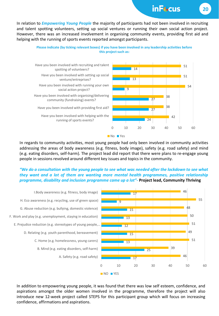inF<sub>\*cus</sub>

In relation to *Empowering Young People* the majority of participants had not been involved in recruiting and talent spotting volunteers, setting up social ventures or running their own social action project. However, there was an increased involvement in organising community events, providing first aid and helping with the running of sports events reported amongst participants.



In regards to community activities, most young people had only been involved in community activities addressing the areas of body awareness (e.g. fitness, body image), safety (e.g. road safety) and mind (e.g. eating disorders, self-harm). The project lead did report that there were plans to re-engage young people in sessions revolved around different key issues and topics in the community.

#### "We do a consultation with the young people to see what was needed after the lockdown to see what *they want and a lot of them are wanting more mental health programmes, positive relationship programme, disability and inclusion programme came up a lot"-* **Project lead, Community Thriving**



In addition to empowering young people, it was found that there was low self esteem, confidence, and aspirations amongst the older women involved in the programme, therefore the project will also introduce new 12-week project called STEPS for this participant group which will focus on increasing confidence, affirmations and aspirations.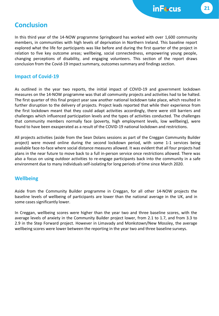## **Conclusion**

In this third year of the 14-NOW programme Springboard has worked with over 1,600 community members, in communities with high levels of deprivation in Northern Ireland. This baseline report explored what the life for participants was like before and during the first quarter of the project in relation to five key outcome areas; wellbeing, social connectedness, empowering young people, changing perceptions of disability, and engaging volunteers. This section of the report draws conclusion from the Covid-19 impact summary, outcomes summary and findings section.

## **Impact of Covid-19**

As outlined in the year two reports, the initial impact of COVID-19 and government lockdown measures on the 14-NOW programme was that all community projects and activities had to be halted. The first quarter of this final project year saw another national lockdown take place, which resulted in further disruption to the delivery of projects. Project leads reported that while their experience from the first lockdown meant that they could adapt activities accordingly, there were still barriers and challenges which influenced participation levels and the types of activities conducted. The challenges that community members normally face (poverty, high employment levels, low wellbeing), were found to have been exasperated as a result of the COVID-19 national lockdown and restrictions.

All projects activities (aside from the Sean Dolans sessions as part of the Creggan Community Builder project) were moved online during the second lockdown period, with some 1-1 services being available face-to-face where social distance measures allowed. It was evident that all four projects had plans in the near future to move back to a full in-person service once restrictions allowed. There was also a focus on using outdoor activities to re-engage participants back into the community in a safe environment due to many individualsself-isolating for long periods of time since March 2020.

## **Wellbeing**

Aside from the Community Builder programme in Creggan, for all other 14-NOW projects the baseline levels of wellbeing of participants are lower than the national average in the UK, and in some cases significantly lower.

In Creggan, wellbeing scores were higher than the year two and three baseline scores, with the average levels of anxiety in the Community Builder project lower, from 2.1 to 1.7, and from 3.3 to 2.9 in the Step Forward project. However in Limavady and Monkstown/New Mossley, the average wellbeing scores were lower between the reporting in the year two and three baseline surveys.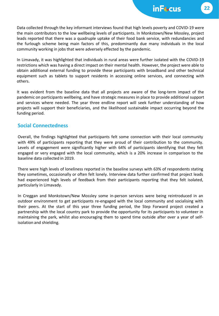Data collected through the key informant interviews found that high levels poverty and COVID-19 were the main contributors to the low wellbeing levels of participants. In Monkstown/New Mossley, project leads reported that there was a quadruple uptake of their food bank service, with redundancies and the furlough scheme being main factors of this, predominantly due many individuals in the local community working in jobs that were adversely effected by the pandemic.

In Limavady, it was highlighted that individuals in rural areas were further isolated with the COVID-19 restrictions which was having a direct impact on their mental health. However, the project were able to obtain additional external funding to provide these participants with broadband and other technical equipment such as tablets to support residents in accessing online services, and connecting with others.

It was evident from the baseline data that all projects are aware of the long-term impact of the pandemic on participants wellbeing, and have strategic measures in place to provide additional support and services where needed. The year three endline report will seek further understanding of how projects will support their beneficiaries, and the likelihood sustainable impact occurring beyond the funding period.

### **Social Connectedness**

Overall, the findings highlighted that participants felt some connection with their local community with 49% of participants reporting that they were proud of their contribution to the community. Levels of engagement were significantly higher with 64% of participants identifying that they felt engaged or very engaged with the local community, which is a 20% increase in comparison to the baseline data collected in 2019.

There were high levels of loneliness reported in the baseline surveys with 63% of respondents stating they sometimes, occasionally or often felt lonely. Interview data further confirmed that project leads had experienced high levels of feedback from their participants reporting that they felt isolated, particularly in Limavady.

In Creggan and Monkstown/New Mossley some in-person services were being reintroduced in an outdoor environment to get participants re-engaged with the local community and socialising with their peers. At the start of this year three funding period, the Step Forward project created a partnership with the local country park to provide the opportunity for its participants to volunteer in maintaining the park, whilst also encouraging them to spend time outside after over a year of selfisolation and shielding.